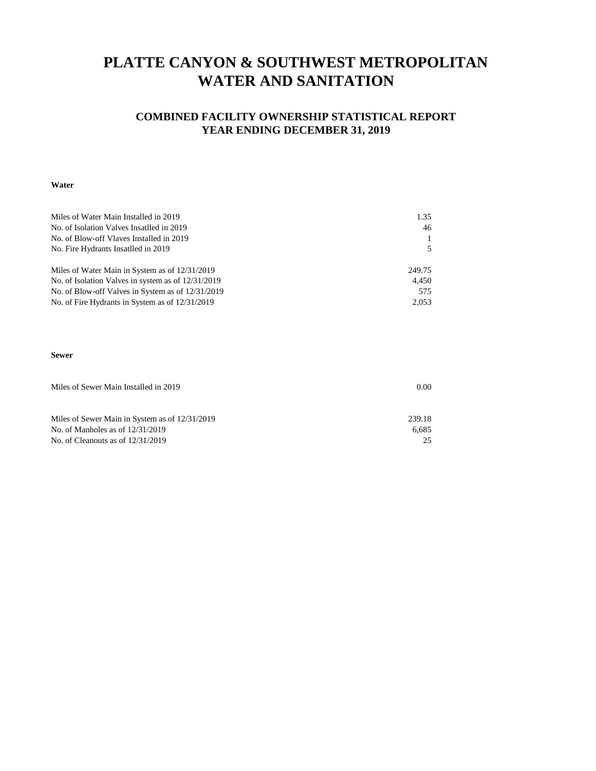## **PLATTE CANYON & SOUTHWEST METROPOLITAN WATER AND SANITATION**

### **COMBINED FACILITY OWNERSHIP STATISTICAL REPORT YEAR ENDING DECEMBER 31, 2019**

#### **Water**

| Miles of Water Main Installed in 2019              | 1.35   |
|----------------------------------------------------|--------|
| No. of Isolation Valves Insatlled in 2019          | 46     |
| No. of Blow-off Vlaves Installed in 2019           |        |
| No. Fire Hydrants Insatlled in 2019                |        |
| Miles of Water Main in System as of 12/31/2019     | 249.75 |
| No. of Isolation Valves in system as of 12/31/2019 | 4.450  |
| No. of Blow-off Valves in System as of 12/31/2019  | 575    |
| No. of Fire Hydrants in System as of 12/31/2019    | 2.053  |

#### **Sewer**

| Miles of Sewer Main Installed in 2019          | 0.00   |  |  |  |
|------------------------------------------------|--------|--|--|--|
|                                                |        |  |  |  |
|                                                |        |  |  |  |
| Miles of Sewer Main in System as of 12/31/2019 | 239.18 |  |  |  |
| No. of Manholes as of $12/31/2019$             | 6.685  |  |  |  |
| No. of Cleanouts as of $12/31/2019$            | 25     |  |  |  |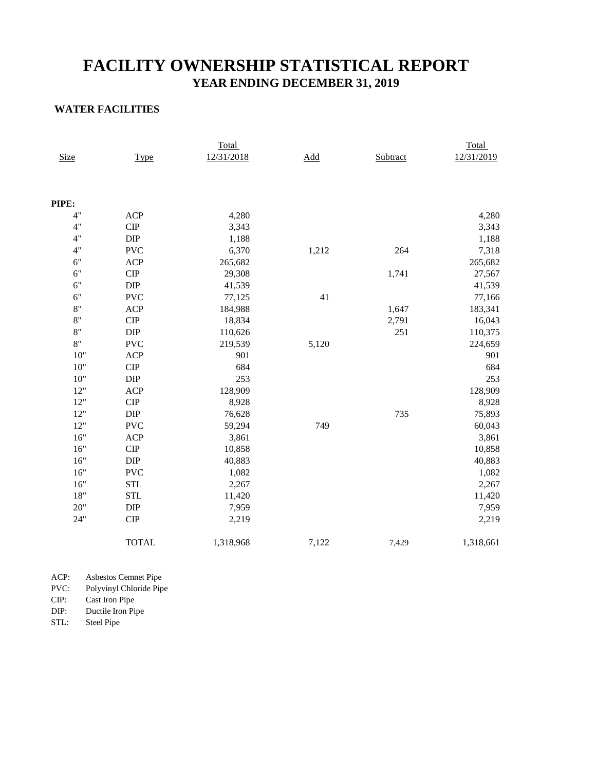### **YEAR ENDING DECEMBER 31, 2019 FACILITY OWNERSHIP STATISTICAL REPORT**

#### **WATER FACILITIES**

|             |                              | Total      |       |          | Total      |
|-------------|------------------------------|------------|-------|----------|------------|
| <b>Size</b> | <b>Type</b>                  | 12/31/2018 | Add   | Subtract | 12/31/2019 |
|             |                              |            |       |          |            |
|             |                              |            |       |          |            |
| PIPE:       |                              |            |       |          |            |
| 4"          | <b>ACP</b>                   | 4,280      |       |          | 4,280      |
| 4"          | CIP                          | 3,343      |       |          | 3,343      |
| 4"          | $\rm DIP$                    | 1,188      |       |          | 1,188      |
| 4"          | <b>PVC</b>                   | 6,370      | 1,212 | 264      | 7,318      |
| 6"          | <b>ACP</b>                   | 265,682    |       |          | 265,682    |
| 6"          | ${\cal C} {\cal I} {\cal P}$ | 29,308     |       | 1,741    | 27,567     |
| 6"          | $\rm DIP$                    | 41,539     |       |          | 41,539     |
| 6"          | <b>PVC</b>                   | 77,125     | 41    |          | 77,166     |
| 8"          | <b>ACP</b>                   | 184,988    |       | 1,647    | 183,341    |
| 8"          | CIP                          | 18,834     |       | 2,791    | 16,043     |
| 8"          | $\rm DIP$                    | 110,626    |       | 251      | 110,375    |
| 8"          | <b>PVC</b>                   | 219,539    | 5,120 |          | 224,659    |
| $10"$       | ACP                          | 901        |       |          | 901        |
| $10"$       | $\cal CIP$                   | 684        |       |          | 684        |
| $10"$       | DIP                          | 253        |       |          | 253        |
| 12"         | ACP                          | 128,909    |       |          | 128,909    |
| $12"$       | $\cal CIP$                   | 8,928      |       |          | 8,928      |
| 12"         | DIP                          | 76,628     |       | 735      | 75,893     |
| 12"         | <b>PVC</b>                   | 59,294     | 749   |          | 60,043     |
| 16"         | ACP                          | 3,861      |       |          | 3,861      |
| 16"         | CIP                          | 10,858     |       |          | 10,858     |
| 16"         | <b>DIP</b>                   | 40,883     |       |          | 40,883     |
| 16"         | <b>PVC</b>                   | 1,082      |       |          | 1,082      |
| 16"         | <b>STL</b>                   | 2,267      |       |          | 2,267      |
| $18"$       | <b>STL</b>                   | 11,420     |       |          | 11,420     |
| 20"         | DIP                          | 7,959      |       |          | 7,959      |
| 24"         | CIP                          | 2,219      |       |          | 2,219      |
|             | <b>TOTAL</b>                 | 1,318,968  | 7,122 | 7,429    | 1,318,661  |

ACP: Asbestos Cemnet Pipe

PVC: Polyvinyl Chloride Pipe

CIP: Cast Iron Pipe DIP: Ductile Iron Pipe<br>STL: Steel Pipe

Steel Pipe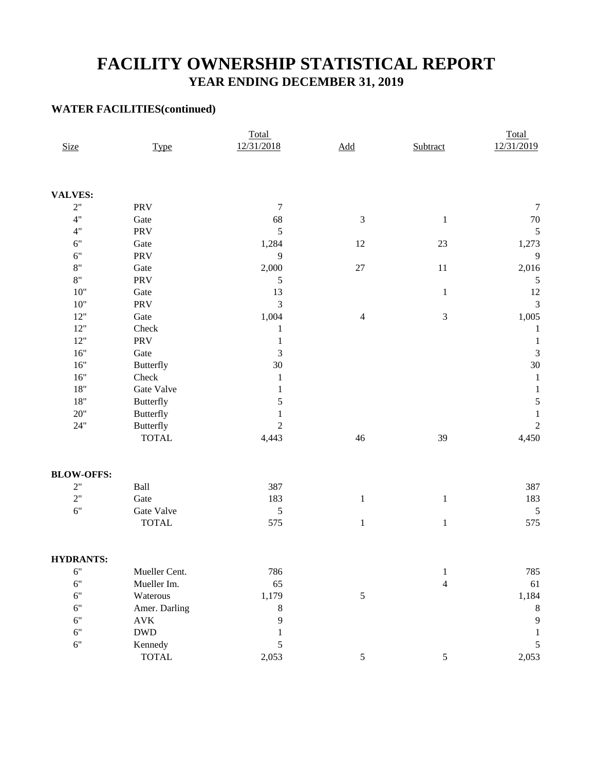## **FACILITY OWNERSHIP STATISTICAL REPORT YEAR ENDING DECEMBER 31, 2019**

### **WATER FACILITIES(continued)**

|                   |                  | Total          |                |                             | Total            |  |  |
|-------------------|------------------|----------------|----------------|-----------------------------|------------------|--|--|
| <b>Size</b>       | <b>Type</b>      | 12/31/2018     | Add            | Subtract                    | 12/31/2019       |  |  |
|                   |                  |                |                |                             |                  |  |  |
| <b>VALVES:</b>    |                  |                |                |                             |                  |  |  |
| 2"                | PRV              | $\tau$         |                |                             | $\boldsymbol{7}$ |  |  |
| 4"                | Gate             | 68             | $\mathfrak 3$  | $\mathbf{1}$                | $70\,$           |  |  |
| 4"                | PRV              | $\mathfrak s$  |                |                             | 5                |  |  |
| 6"                | Gate             | 1,284          | 12             | 23                          | 1,273            |  |  |
| 6"                | PRV              | 9              |                |                             | 9                |  |  |
| 8"                | Gate             | 2,000          | $27\,$         | 11                          | 2,016            |  |  |
| 8"                | PRV              | $\mathfrak s$  |                |                             | 5                |  |  |
| $10"$             | Gate             | 13             |                | $\mathbf{1}$                | 12               |  |  |
| $10"$             | PRV              | $\mathfrak{Z}$ |                |                             | $\overline{3}$   |  |  |
| $12"$             | Gate             | 1,004          | $\overline{4}$ | $\ensuremath{\mathfrak{Z}}$ | 1,005            |  |  |
| $12"$             | Check            | $\mathbf{1}$   |                |                             | $\mathbf{1}$     |  |  |
| 12"               | PRV              | $\mathbf{1}$   |                |                             | $\mathbf{1}$     |  |  |
| $16"$             | Gate             | $\mathfrak 3$  |                |                             | 3                |  |  |
| $16"$             | <b>Butterfly</b> | 30             |                |                             | 30               |  |  |
| $16"$             | Check            | $\mathbf{1}$   |                |                             | $\mathbf{1}$     |  |  |
| $18"$             | Gate Valve       | $\mathbf{1}$   |                |                             | $\mathbf{1}$     |  |  |
| $18"$             | <b>Butterfly</b> | 5              |                |                             | 5                |  |  |
| 20"               | <b>Butterfly</b> | $\mathbf{1}$   |                |                             | $\,1\,$          |  |  |
| 24"               | <b>Butterfly</b> | $\overline{c}$ |                |                             | $\overline{c}$   |  |  |
|                   | <b>TOTAL</b>     | 4,443          | 46             | 39                          | 4,450            |  |  |
| <b>BLOW-OFFS:</b> |                  |                |                |                             |                  |  |  |
| 2"                | Ball             | 387            |                |                             | 387              |  |  |
| 2"                | Gate             | 183            | $\,1\,$        | $\mathbf{1}$                | 183              |  |  |
| 6"                | Gate Valve       | $\mathfrak s$  |                |                             | 5                |  |  |
|                   | <b>TOTAL</b>     | 575            | $\,1\,$        | $\mathbf{1}$                | 575              |  |  |
| <b>HYDRANTS:</b>  |                  |                |                |                             |                  |  |  |
| 6"                | Mueller Cent.    | 786            |                | 1                           | 785              |  |  |
| 6"                | Mueller Im.      | 65             |                | $\overline{4}$              | 61               |  |  |
| 6"                | Waterous         | 1,179          | $\sqrt{5}$     |                             | 1,184            |  |  |
| 6"                | Amer. Darling    | 8              |                |                             | $\,$ 8 $\,$      |  |  |
| 6"                | $\mathbf{AVK}$   | 9              |                |                             | 9                |  |  |
| 6"                | <b>DWD</b>       | $\mathbf{1}$   |                |                             | 1                |  |  |
| 6"                | Kennedy          | 5              |                |                             | 5                |  |  |
|                   | <b>TOTAL</b>     | 2,053          | $\mathfrak{S}$ | $\sqrt{5}$                  | 2,053            |  |  |
|                   |                  |                |                |                             |                  |  |  |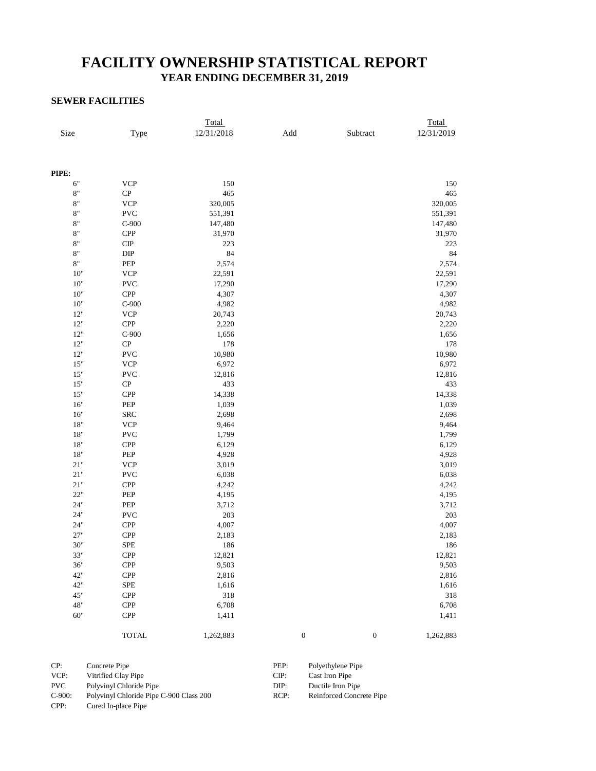### **FACILITY OWNERSHIP STATISTICAL REPORT YEAR ENDING DECEMBER 31, 2019**

#### **SEWER FACILITIES**

|                 |                             | Total      |                                        |                  | Total      |
|-----------------|-----------------------------|------------|----------------------------------------|------------------|------------|
| <b>Size</b>     | <b>Type</b>                 | 12/31/2018 | $\underline{\underline{\mathrm{Add}}}$ | Subtract         | 12/31/2019 |
|                 |                             |            |                                        |                  |            |
|                 |                             |            |                                        |                  |            |
|                 |                             |            |                                        |                  |            |
| PIPE:           |                             |            |                                        |                  |            |
| 6"              | <b>VCP</b>                  | 150        |                                        |                  | 150        |
| $8\mathrm{''}$  | ${\bf CP}$                  | 465        |                                        |                  | 465        |
| $8\,$           | <b>VCP</b>                  | 320,005    |                                        |                  | 320,005    |
| $8\mathrm{"}$   | <b>PVC</b>                  | 551,391    |                                        |                  | 551,391    |
| $8\mathrm{''}$  | $C-900$                     | 147,480    |                                        |                  | 147,480    |
| $8\,$           | <b>CPP</b>                  | 31,970     |                                        |                  | 31,970     |
| $8\,$           | $\cal CP$                   | 223        |                                        |                  | 223        |
| $8\mathrm{''}$  | $\rm{DIP}$                  | 84         |                                        |                  | 84         |
| $8\,^{\rm n}$   | PEP                         | 2,574      |                                        |                  | 2,574      |
| $10"$           | <b>VCP</b>                  | 22,591     |                                        |                  | 22,591     |
| $10"$           | <b>PVC</b>                  | 17,290     |                                        |                  | 17,290     |
| $10"$           | ${\cal CP} {\cal P}$        | 4,307      |                                        |                  | 4,307      |
| $10^{\rm o}$    | $C-900$                     | 4,982      |                                        |                  | 4,982      |
| $12"$           | $\ensuremath{\text{VCP}}$   | 20,743     |                                        |                  | 20,743     |
| $12"$           | ${\cal CP} {\cal P}$        | 2,220      |                                        |                  | 2,220      |
| $12"$           | $C-900$                     | 1,656      |                                        |                  | 1,656      |
| $12"$           | ${\bf CP}$                  | 178        |                                        |                  | 178        |
| $12"$           | <b>PVC</b>                  | 10,980     |                                        |                  | 10,980     |
| $15"$           | <b>VCP</b>                  | 6,972      |                                        |                  | 6,972      |
| $15"$           | <b>PVC</b>                  | 12,816     |                                        |                  | 12,816     |
| $15"$           | ${\bf CP}$                  | 433        |                                        |                  | 433        |
| $15"$           | <b>CPP</b>                  | 14,338     |                                        |                  | 14,338     |
| 16"             | PEP                         | 1,039      |                                        |                  | 1,039      |
| 16"             | <b>SRC</b>                  | 2,698      |                                        |                  | 2,698      |
| 18"             | <b>VCP</b>                  | 9,464      |                                        |                  | 9,464      |
| $18"$           | <b>PVC</b>                  | 1,799      |                                        |                  | 1,799      |
| $18"$           | <b>CPP</b>                  | 6,129      |                                        |                  | 6,129      |
| $18"$           | $\ensuremath{\mathsf{PEP}}$ | 4,928      |                                        |                  | 4,928      |
| $21\mathrm{''}$ | <b>VCP</b>                  | 3,019      |                                        |                  | 3,019      |
| $21\mathrm{''}$ | <b>PVC</b>                  | 6,038      |                                        |                  | 6,038      |
| $21\mathrm{''}$ | <b>CPP</b>                  | 4,242      |                                        |                  | 4,242      |
| 22"             | PEP                         | 4,195      |                                        |                  | 4,195      |
| $24"$           | PEP                         | 3,712      |                                        |                  | 3,712      |
| $24"$           | <b>PVC</b>                  | 203        |                                        |                  | 203        |
| 24"             | <b>CPP</b>                  | 4,007      |                                        |                  | 4,007      |
| $27"$           | <b>CPP</b>                  | 2,183      |                                        |                  | 2,183      |
| 30"             | <b>SPE</b>                  | 186        |                                        |                  | 186        |
| 33"             | <b>CPP</b>                  | 12,821     |                                        |                  | 12,821     |
| 36"             | CPP                         | 9,503      |                                        |                  | 9,503      |
| 42"             | <b>CPP</b>                  | 2,816      |                                        |                  | 2,816      |
| 42"             | <b>SPE</b>                  | 1,616      |                                        |                  | 1,616      |
| 45"             | ${\cal CP} {\cal P}$        | 318        |                                        |                  | 318        |
| 48"             | <b>CPP</b>                  | 6,708      |                                        |                  | 6,708      |
| 60"             | <b>CPP</b>                  | 1,411      |                                        |                  | 1,411      |
|                 |                             |            |                                        |                  |            |
|                 | <b>TOTAL</b>                | 1,262,883  | $\boldsymbol{0}$                       | $\boldsymbol{0}$ | 1,262,883  |

| CP:        | Concrete Pipe                           | PEP: | Polyethylene Pipe        |
|------------|-----------------------------------------|------|--------------------------|
| VCP:       | Vitrified Clay Pipe                     | CIP: | Cast Iron Pipe           |
| <b>PVC</b> | Polyvinyl Chloride Pipe                 | DIP: | Ductile Iron Pipe        |
| $C-900:$   | Polyvinyl Chloride Pipe C-900 Class 200 | RCP: | Reinforced Concrete Pipe |
| CPP:       | Cured In-place Pipe                     |      |                          |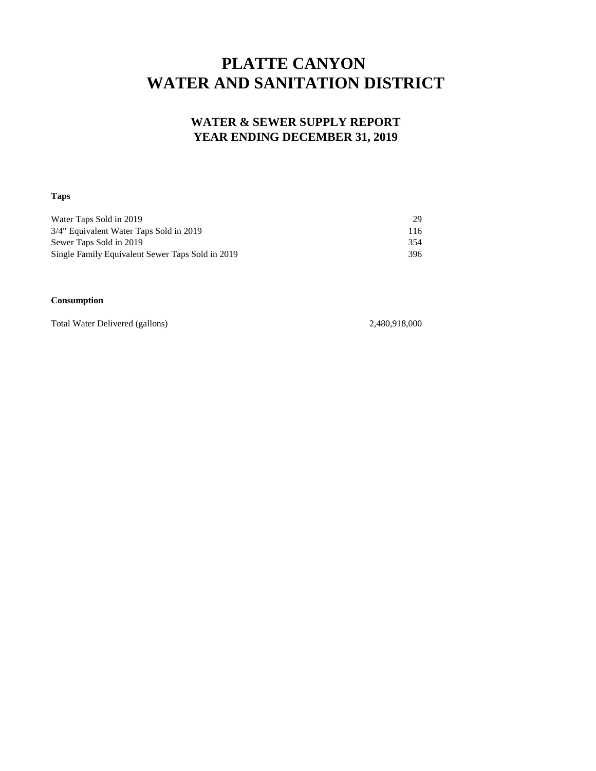# **PLATTE CANYON WATER AND SANITATION DISTRICT**

### **WATER & SEWER SUPPLY REPORT YEAR ENDING DECEMBER 31, 2019**

#### **Taps**

| Water Taps Sold in 2019                          | 29  |
|--------------------------------------------------|-----|
| 3/4" Equivalent Water Taps Sold in 2019          | 116 |
| Sewer Taps Sold in 2019                          | 354 |
| Single Family Equivalent Sewer Taps Sold in 2019 | 396 |

#### **Consumption**

Total Water Delivered (gallons) 2,480,918,000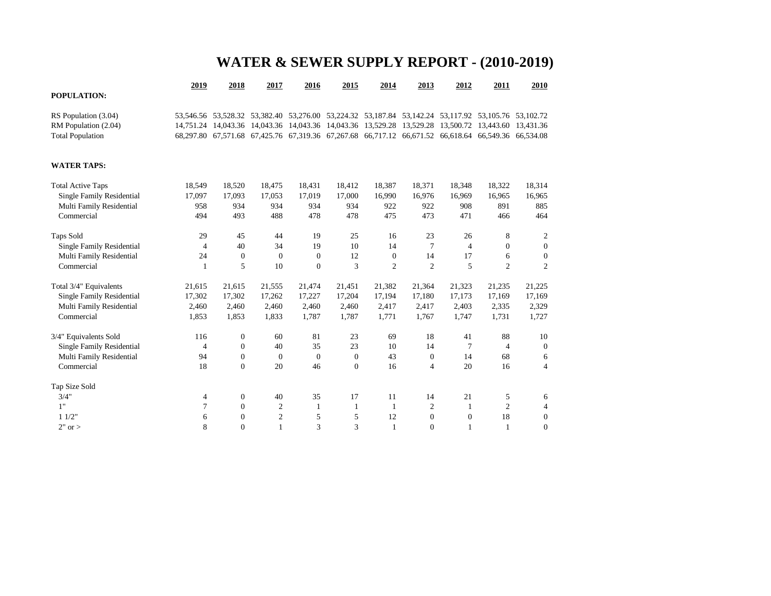## **WATER & SEWER SUPPLY REPORT - (2010-2019)**

|                                  | 2019           | 2018             | 2017         | 2016         | 2015         | 2014                                                                                                | 2013           | 2012           | 2011           | 2010             |
|----------------------------------|----------------|------------------|--------------|--------------|--------------|-----------------------------------------------------------------------------------------------------|----------------|----------------|----------------|------------------|
| <b>POPULATION:</b>               |                |                  |              |              |              |                                                                                                     |                |                |                |                  |
| RS Population (3.04)             |                |                  |              |              |              | 53,546.56 53,528.32 53,382.40 53,276.00 53,224.32 53,187.84 53,142.24 53,117.92 53,105.76 53,102.72 |                |                |                |                  |
| RM Population (2.04)             |                |                  |              |              |              | 14,751.24 14,043.36 14,043.36 14,043.36 14,043.36 13,529.28 13,529.28 13,500.72 13,443.60 13,431.36 |                |                |                |                  |
| <b>Total Population</b>          |                |                  |              |              |              | 68,297.80 67,571.68 67,425.76 67,319.36 67,267.68 66,717.12 66,671.52 66,618.64 66,549.36 66,534.08 |                |                |                |                  |
| <b>WATER TAPS:</b>               |                |                  |              |              |              |                                                                                                     |                |                |                |                  |
| <b>Total Active Taps</b>         | 18,549         | 18,520           | 18,475       | 18,431       | 18,412       | 18,387                                                                                              | 18,371         | 18,348         | 18,322         | 18,314           |
| <b>Single Family Residential</b> | 17,097         | 17,093           | 17,053       | 17,019       | 17,000       | 16,990                                                                                              | 16,976         | 16,969         | 16,965         | 16,965           |
| Multi Family Residential         | 958            | 934              | 934          | 934          | 934          | 922                                                                                                 | 922            | 908            | 891            | 885              |
| Commercial                       | 494            | 493              | 488          | 478          | 478          | 475                                                                                                 | 473            | 471            | 466            | 464              |
| <b>Taps Sold</b>                 | 29             | 45               | 44           | 19           | 25           | 16                                                                                                  | 23             | 26             | 8              | $\overline{2}$   |
| <b>Single Family Residential</b> | $\overline{4}$ | 40               | 34           | 19           | 10           | 14                                                                                                  | 7              | $\overline{4}$ | $\mathbf{0}$   | $\boldsymbol{0}$ |
| Multi Family Residential         | 24             | $\theta$         | $\mathbf{0}$ | $\mathbf{0}$ | 12           | $\overline{0}$                                                                                      | 14             | 17             | 6              | $\overline{0}$   |
| Commercial                       | 1              | 5                | 10           | $\mathbf{0}$ | 3            | 2                                                                                                   | $\overline{2}$ | 5              | $\overline{c}$ | $\overline{2}$   |
| Total 3/4" Equivalents           | 21,615         | 21,615           | 21,555       | 21,474       | 21,451       | 21,382                                                                                              | 21,364         | 21,323         | 21,235         | 21,225           |
| <b>Single Family Residential</b> | 17,302         | 17,302           | 17,262       | 17,227       | 17,204       | 17,194                                                                                              | 17,180         | 17,173         | 17,169         | 17,169           |
| Multi Family Residential         | 2,460          | 2,460            | 2,460        | 2,460        | 2,460        | 2,417                                                                                               | 2,417          | 2,403          | 2,335          | 2,329            |
| Commercial                       | 1,853          | 1,853            | 1,833        | 1,787        | 1,787        | 1,771                                                                                               | 1,767          | 1,747          | 1,731          | 1,727            |
| 3/4" Equivalents Sold            | 116            | $\boldsymbol{0}$ | 60           | 81           | 23           | 69                                                                                                  | 18             | 41             | 88             | 10               |
| <b>Single Family Residential</b> | 4              | $\mathbf{0}$     | 40           | 35           | 23           | 10                                                                                                  | 14             | $\tau$         | 4              | $\boldsymbol{0}$ |
| Multi Family Residential         | 94             | $\overline{0}$   | $\mathbf{0}$ | $\mathbf{0}$ | $\mathbf{0}$ | 43                                                                                                  | $\bf{0}$       | 14             | 68             | 6                |
| Commercial                       | 18             | $\overline{0}$   | 20           | 46           | $\mathbf{0}$ | 16                                                                                                  | 4              | 20             | 16             | $\overline{4}$   |
| Tap Size Sold                    |                |                  |              |              |              |                                                                                                     |                |                |                |                  |
| 3/4"                             | 4              | $\overline{0}$   | 40           | 35           | 17           | 11                                                                                                  | 14             | 21             | 5              | 6                |

1" 7 0 2 1 1 1 2 1 2 4 1 1/2" 6 0 2 5 5 12 0 0 18 0  $2^{\circ}$  or > 8 0 1 3 3 1 0 1 1 0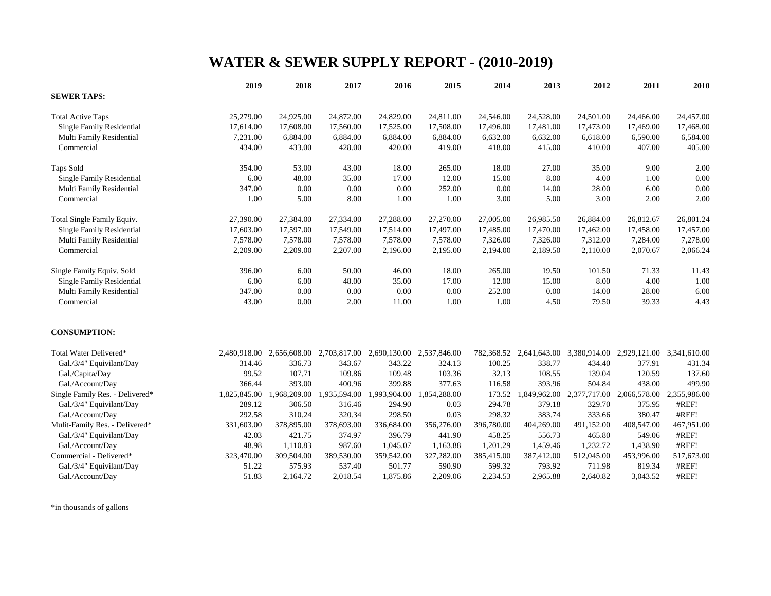## **WATER & SEWER SUPPLY REPORT - (2010-2019)**

|                                  | 2019         | 2018         | 2017         | 2016         | 2015         | 2014       | 2013         | 2012         | 2011                      | 2010         |
|----------------------------------|--------------|--------------|--------------|--------------|--------------|------------|--------------|--------------|---------------------------|--------------|
| <b>SEWER TAPS:</b>               |              |              |              |              |              |            |              |              |                           |              |
| <b>Total Active Taps</b>         | 25,279.00    | 24,925.00    | 24,872.00    | 24,829.00    | 24,811.00    | 24,546.00  | 24,528.00    | 24,501.00    | 24,466.00                 | 24,457.00    |
| Single Family Residential        | 17,614.00    | 17,608.00    | 17,560.00    | 17,525.00    | 17,508.00    | 17,496.00  | 17,481.00    | 17,473.00    | 17,469.00                 | 17,468.00    |
| Multi Family Residential         | 7,231.00     | 6,884.00     | 6,884.00     | 6,884.00     | 6,884.00     | 6,632.00   | 6,632.00     | 6,618.00     | 6,590.00                  | 6,584.00     |
| Commercial                       | 434.00       | 433.00       | 428.00       | 420.00       | 419.00       | 418.00     | 415.00       | 410.00       | 407.00                    | 405.00       |
| <b>Taps Sold</b>                 | 354.00       | 53.00        | 43.00        | 18.00        | 265.00       | 18.00      | 27.00        | 35.00        | 9.00                      | 2.00         |
| Single Family Residential        | 6.00         | 48.00        | 35.00        | 17.00        | 12.00        | 15.00      | 8.00         | 4.00         | 1.00                      | 0.00         |
| Multi Family Residential         | 347.00       | 0.00         | 0.00         | 0.00         | 252.00       | 0.00       | 14.00        | 28.00        | 6.00                      | 0.00         |
| Commercial                       | 1.00         | 5.00         | 8.00         | 1.00         | 1.00         | 3.00       | 5.00         | 3.00         | 2.00                      | 2.00         |
| Total Single Family Equiv.       | 27,390.00    | 27,384.00    | 27,334.00    | 27,288.00    | 27,270.00    | 27,005.00  | 26,985.50    | 26,884.00    | 26,812.67                 | 26,801.24    |
| Single Family Residential        | 17,603.00    | 17,597.00    | 17,549.00    | 17,514.00    | 17,497.00    | 17,485.00  | 17,470.00    | 17,462.00    | 17,458.00                 | 17,457.00    |
| Multi Family Residential         | 7,578.00     | 7,578.00     | 7,578.00     | 7,578.00     | 7,578.00     | 7,326.00   | 7,326.00     | 7,312.00     | 7,284.00                  | 7,278.00     |
| Commercial                       | 2,209.00     | 2,209.00     | 2,207.00     | 2,196.00     | 2,195.00     | 2,194.00   | 2,189.50     | 2,110.00     | 2,070.67                  | 2,066.24     |
| Single Family Equiv. Sold        | 396.00       | 6.00         | 50.00        | 46.00        | 18.00        | 265.00     | 19.50        | 101.50       | 71.33                     | 11.43        |
| <b>Single Family Residential</b> | 6.00         | 6.00         | 48.00        | 35.00        | 17.00        | 12.00      | 15.00        | 8.00         | 4.00                      | 1.00         |
| Multi Family Residential         | 347.00       | 0.00         | 0.00         | 0.00         | 0.00         | 252.00     | 0.00         | 14.00        | 28.00                     | 6.00         |
| Commercial                       | 43.00        | 0.00         | 2.00         | 11.00        | 1.00         | 1.00       | 4.50         | 79.50        | 39.33                     | 4.43         |
| <b>CONSUMPTION:</b>              |              |              |              |              |              |            |              |              |                           |              |
| Total Water Delivered*           | 2,480,918.00 | 2,656,608.00 | 2,703,817.00 | 2,690,130.00 | 2,537,846.00 | 782,368.52 | 2,641,643.00 |              | 3,380,914.00 2,929,121.00 | 3,341,610.00 |
| Gal./3/4" Equivilant/Day         | 314.46       | 336.73       | 343.67       | 343.22       | 324.13       | 100.25     | 338.77       | 434.40       | 377.91                    | 431.34       |
| Gal./Capita/Day                  | 99.52        | 107.71       | 109.86       | 109.48       | 103.36       | 32.13      | 108.55       | 139.04       | 120.59                    | 137.60       |
| Gal./Account/Day                 | 366.44       | 393.00       | 400.96       | 399.88       | 377.63       | 116.58     | 393.96       | 504.84       | 438.00                    | 499.90       |
| Single Family Res. - Delivered*  | 1,825,845.00 | 1,968,209.00 | 1,935,594.00 | 1,993,904.00 | 1,854,288.00 | 173.52     | 1,849,962.00 | 2,377,717.00 | 2,066,578.00              | 2,355,986.00 |
| Gal./3/4" Equivilant/Day         | 289.12       | 306.50       | 316.46       | 294.90       | 0.03         | 294.78     | 379.18       | 329.70       | 375.95                    | #REF!        |
| Gal./Account/Day                 | 292.58       | 310.24       | 320.34       | 298.50       | 0.03         | 298.32     | 383.74       | 333.66       | 380.47                    | #REF!        |
| Mulit-Family Res. - Delivered*   | 331,603.00   | 378,895.00   | 378,693.00   | 336,684.00   | 356,276.00   | 396,780.00 | 404,269.00   | 491,152.00   | 408,547.00                | 467,951.00   |
| Gal./3/4" Equivilant/Day         | 42.03        | 421.75       | 374.97       | 396.79       | 441.90       | 458.25     | 556.73       | 465.80       | 549.06                    | #REF!        |
| Gal./Account/Day                 | 48.98        | 1,110.83     | 987.60       | 1,045.07     | 1,163.88     | 1,201.29   | 1,459.46     | 1,232.72     | 1,438.90                  | #REF!        |
| Commercial - Delivered*          | 323,470.00   | 309,504.00   | 389,530.00   | 359,542.00   | 327,282.00   | 385,415.00 | 387,412.00   | 512,045.00   | 453,996.00                | 517,673.00   |
| Gal./3/4" Equivilant/Day         | 51.22        | 575.93       | 537.40       | 501.77       | 590.90       | 599.32     | 793.92       | 711.98       | 819.34                    | #REF!        |
| Gal./Account/Day                 | 51.83        | 2,164.72     | 2,018.54     | 1,875.86     | 2,209.06     | 2,234.53   | 2,965.88     | 2,640.82     | 3,043.52                  | #REF!        |

\*in thousands of gallons